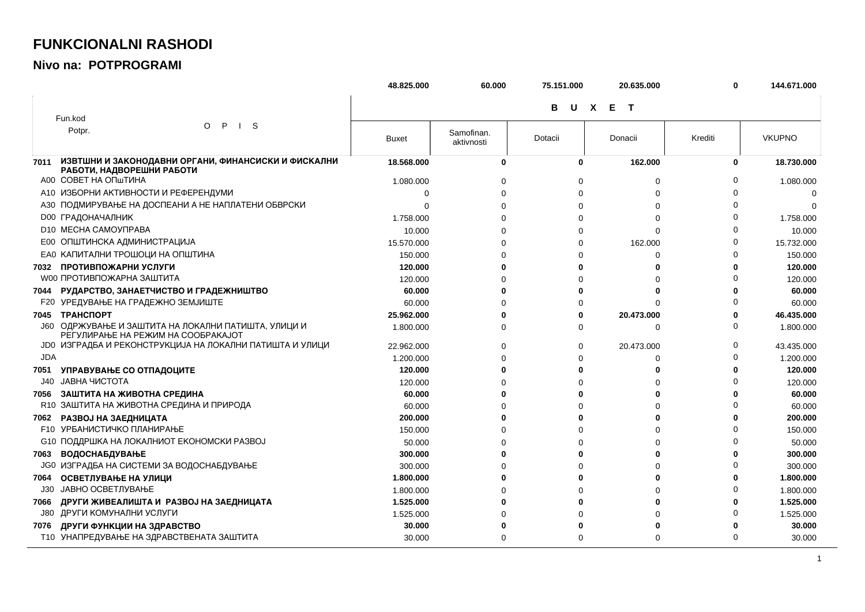## **FUNKCIONALNI RASHODI**

## Nivo na: POTPROGRAMI

|            |                                                                                           | 48.825.000   | 60.000                   | 75.151.000 | 20.635.000 | 0        | 144.671.000   |
|------------|-------------------------------------------------------------------------------------------|--------------|--------------------------|------------|------------|----------|---------------|
|            |                                                                                           |              |                          | в          | U X E T    |          |               |
|            | Fun.kod                                                                                   |              |                          |            |            |          |               |
|            | $\mathsf{P}$<br>$\vert$ S<br>$\circ$<br>Potpr.                                            | <b>Buxet</b> | Samofinan.<br>aktivnosti | Dotacii    | Donacii    | Krediti  | <b>VKUPNO</b> |
| 7011       | ИЗВТШНИ И ЗАКОНОДАВНИ ОРГАНИ, ФИНАНСИСКИ И ФИСКАЛНИ<br>РАБОТИ, НАДВОРЕШНИ РАБОТИ          | 18.568.000   | 0                        | 0          | 162.000    | 0        | 18.730.000    |
|            | A00 COBET HA ONTIVIHA                                                                     | 1.080.000    |                          | 0          | 0          |          | 1.080.000     |
|            | А10 ИЗБОРНИ АКТИВНОСТИ И РЕФЕРЕНДУМИ                                                      | 0            |                          | $\Omega$   | $\Omega$   |          | 0             |
|            | АЗО ПОДМИРУВАЊЕ НА ДОСПЕАНИ А НЕ НАПЛАТЕНИ ОБВРСКИ                                        | $\Omega$     |                          | 0          | $\Omega$   |          |               |
|            | <b>D00 ГРАДОНАЧАЛНИК</b>                                                                  | 1.758.000    |                          | 0          | $\Omega$   |          | 1.758.000     |
|            | D <sub>10</sub> MECHA CAMOY <sub>UPABA</sub>                                              | 10.000       |                          | 0          | $\Omega$   |          | 10.000        |
|            | Е00 ОПШТИНСКА АДМИНИСТРАЦИЈА                                                              | 15.570.000   |                          | 0          | 162.000    |          | 15.732.000    |
|            | ЕАО КАПИТАЛНИ ТРОШОЦИ НА ОПШТИНА                                                          | 150.000      |                          | 0          | 0          |          | 150.000       |
|            | 7032 ПРОТИВПОЖАРНИ УСЛУГИ                                                                 | 120.000      |                          | 0          | ŋ          |          | 120.000       |
|            | <b>W00 ПРОТИВПОЖАРНА ЗАШТИТА</b>                                                          | 120.000      |                          | 0          |            |          | 120.000       |
|            | 7044 РУДАРСТВО, ЗАНАЕТЧИСТВО И ГРАДЕЖНИШТВО                                               | 60.000       |                          | O          | O          |          | 60.000        |
|            | <b>F20 УРЕДУВАЊЕ НА ГРАДЕЖНО ЗЕМЈИШТЕ</b>                                                 | 60.000       |                          | $\Omega$   | $\Omega$   |          | 60.000        |
| 7045       | <b>ТРАНСПОРТ</b>                                                                          | 25.962.000   |                          | 0          | 20.473.000 |          | 46.435.000    |
|            | Ј60 ОДРЖУВАЊЕ И ЗАШТИТА НА ЛОКАЛНИ ПАТИШТА, УЛИЦИ И<br>РЕГУЛИРАЊЕ НА РЕЖИМ НА СООБРАКАЈОТ | 1.800.000    | O                        | 0          | 0          | $\Omega$ | 1.800.000     |
|            | ЈОО ИЗГРАДБА И РЕКОНСТРУКЦИЈА НА ЛОКАЛНИ ПАТИШТА И УЛИЦИ                                  | 22.962.000   |                          | 0          | 20.473.000 | $\Omega$ | 43.435.000    |
| <b>JDA</b> |                                                                                           | 1.200.000    |                          | $\Omega$   | 0          |          | 1.200.000     |
| 7051       | УПРАВУВАЊЕ СО ОТПАДОЦИТЕ                                                                  | 120.000      |                          | ŋ          |            |          | 120.000       |
| J40        | ЈАВНА ЧИСТОТА                                                                             | 120.000      |                          | $\Omega$   | U          |          | 120.000       |
| 7056       | ЗАШТИТА НА ЖИВОТНА СРЕДИНА                                                                | 60.000       |                          | 0          | ŋ          |          | 60.000        |
|            | R10 ЗАШТИТА НА ЖИВОТНА СРЕДИНА И ПРИРОДА                                                  | 60.000       |                          | $\Omega$   | O          |          | 60.000        |
| 7062       | РАЗВОЈ НА ЗАЕДНИЦАТА                                                                      | 200.000      |                          | ŋ          | O          |          | 200.000       |
|            | <b>F10 УРБАНИСТИЧКО ПЛАНИРАЊЕ</b>                                                         | 150.000      |                          | $\Omega$   | O          |          | 150.000       |
|            | С10 ПОДДРШКА НА ЛОКАЛНИОТ ЕКОНОМСКИ РАЗВОЈ                                                | 50.000       |                          | $\Omega$   | O          |          | 50.000        |
| 7063       | <b>ВОДОСНАБДУВАЊЕ</b>                                                                     | 300,000      |                          | ŋ          | ŋ          |          | 300,000       |
|            | <b>JG0 ИЗГРАДБА НА СИСТЕМИ ЗА ВОДОСНАБДУВАЊЕ</b>                                          | 300.000      |                          | $\Omega$   | 0          |          | 300.000       |
| 7064       | ОСВЕТЛУВАЊЕ НА УЛИЦИ                                                                      | 1.800.000    |                          | 0          | 0          |          | 1.800.000     |
| J30        | ЈАВНО ОСВЕТЛУВАЊЕ                                                                         | 1.800.000    |                          | 0          | 0          |          | 1.800.000     |
| 7066       | ДРУГИ ЖИВЕАЛИШТА И РАЗВОЈ НА ЗАЕДНИЦАТА                                                   | 1.525.000    |                          | ŋ          | O          |          | 1.525.000     |
| J80        | ДРУГИ КОМУНАЛНИ УСЛУГИ                                                                    | 1.525.000    |                          | በ          | 0          |          | 1.525.000     |
| 7076       | ДРУГИ ФУНКЦИИ НА ЗДРАВСТВО                                                                | 30.000       |                          |            |            |          | 30.000        |
|            | Т10 УНАПРЕДУВАЊЕ НА ЗДРАВСТВЕНАТА ЗАШТИТА                                                 | 30.000       | $\Omega$                 | $\Omega$   | $\Omega$   | $\Omega$ | 30.000        |